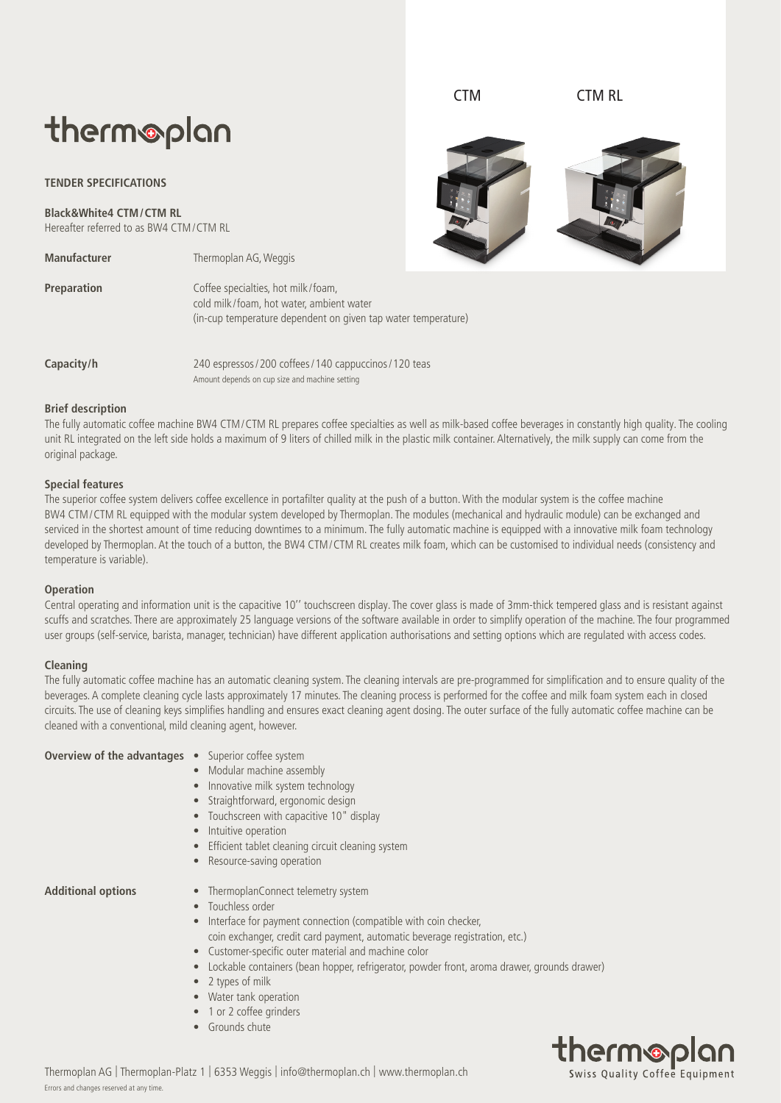# therm®plan

## **TENDER SPECIFICATIONS**

**Black&White4 CTM/CTM RL** Hereafter referred to as BW4 CTM/CTM RL

**Manufacturer** Thermoplan AG, Weggis

| Preparation | Coffee specialties, hot milk/foam,                            |
|-------------|---------------------------------------------------------------|
|             | cold milk/foam, hot water, ambient water                      |
|             | (in-cup temperature dependent on given tap water temperature) |
|             |                                                               |

**Capacity/h** 240 espressos / 200 coffees / 140 cappuccinos / 120 teas Amount depends on cup size and machine setting

# **Brief description**

The fully automatic coffee machine BW4 CTM/CTM RL prepares coffee specialties as well as milk-based coffee beverages in constantly high quality. The cooling unit RL integrated on the left side holds a maximum of 9 liters of chilled milk in the plastic milk container. Alternatively, the milk supply can come from the original package.

### **Special features**

The superior coffee system delivers coffee excellence in portafilter quality at the push of a button. With the modular system is the coffee machine BW4 CTM/CTM RL equipped with the modular system developed by Thermoplan. The modules (mechanical and hydraulic module) can be exchanged and serviced in the shortest amount of time reducing downtimes to a minimum. The fully automatic machine is equipped with a innovative milk foam technology developed by Thermoplan. At the touch of a button, the BW4 CTM/CTM RL creates milk foam, which can be customised to individual needs (consistency and temperature is variable).

#### **Operation**

Central operating and information unit is the capacitive 10'' touchscreen display. The cover glass is made of 3mm-thick tempered glass and is resistant against scuffs and scratches. There are approximately 25 language versions of the software available in order to simplify operation of the machine. The four programmed user groups (self-service, barista, manager, technician) have different application authorisations and setting options which are regulated with access codes.

#### **Cleaning**

The fully automatic coffee machine has an automatic cleaning system. The cleaning intervals are pre-programmed for simplification and to ensure quality of the beverages. A complete cleaning cycle lasts approximately 17 minutes. The cleaning process is performed for the coffee and milk foam system each in closed circuits. The use of cleaning keys simplifies handling and ensures exact cleaning agent dosing. The outer surface of the fully automatic coffee machine can be cleaned with a conventional, mild cleaning agent, however.

**Overview of the advantages** • Superior coffee system

- 
- Modular machine assembly
- Innovative milk system technology
- Straightforward, ergonomic design
- Touchscreen with capacitive 10" display
- Intuitive operation
- Efficient tablet cleaning circuit cleaning system
- Resource-saving operation

- **Additional options** ThermoplanConnect telemetry system
	- Touchless order
	- Interface for payment connection (compatible with coin checker,
		- coin exchanger, credit card payment, automatic beverage registration, etc.)
	- Customer-specific outer material and machine color
	- Lockable containers (bean hopper, refrigerator, powder front, aroma drawer, grounds drawer)
	- 2 types of milk
	- Water tank operation
	- 1 or 2 coffee grinders
	- Grounds chute